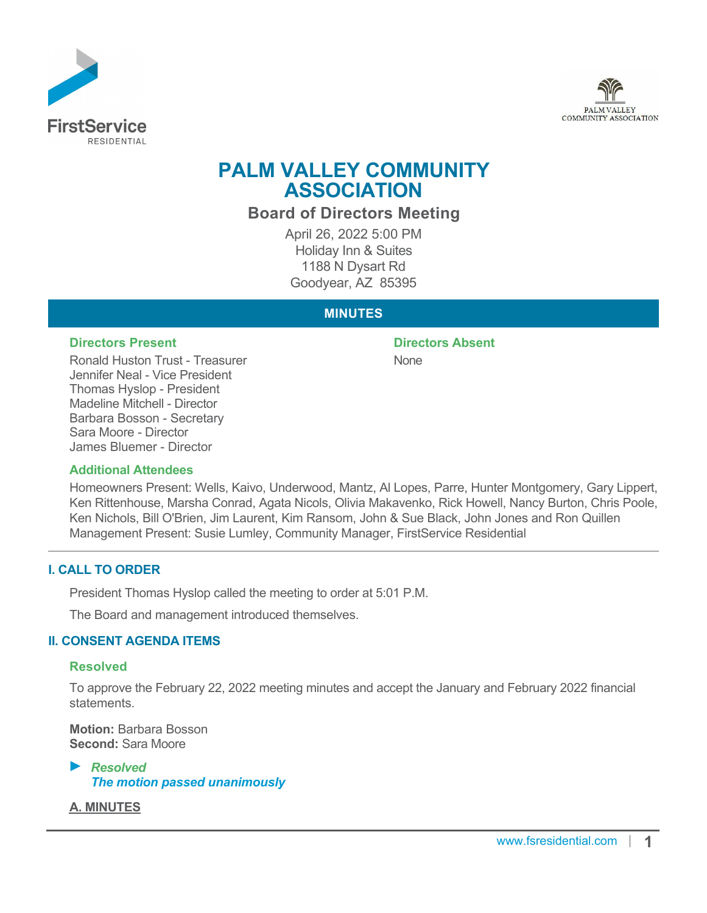



# **PALM VALLEY COMMUNITY ASSOCIATION**

**Board of Directors Meeting**

April 26, 2022 5:00 PM Holiday Inn & Suites 1188 N Dysart Rd Goodyear, AZ 85395

# **MINUTES**

#### **Directors Present Directors Absent**

Ronald Huston Trust - Treasurer Jennifer Neal - Vice President Thomas Hyslop - President Madeline Mitchell - Director Barbara Bosson - Secretary Sara Moore - Director James Bluemer - Director

# None

#### **Additional Attendees**

Homeowners Present: Wells, Kaivo, Underwood, Mantz, Al Lopes, Parre, Hunter Montgomery, Gary Lippert, Ken Rittenhouse, Marsha Conrad, Agata Nicols, Olivia Makavenko, Rick Howell, Nancy Burton, Chris Poole, Ken Nichols, Bill O'Brien, Jim Laurent, Kim Ransom, John & Sue Black, John Jones and Ron Quillen Management Present: Susie Lumley, Community Manager, FirstService Residential

# **I. CALL TO ORDER**

President Thomas Hyslop called the meeting to order at 5:01 P.M.

The Board and management introduced themselves.

# **II. CONSENT AGENDA ITEMS**

#### **Resolved**

To approve the February 22, 2022 meeting minutes and accept the January and February 2022 financial **statements** 

**Motion:** Barbara Bosson **Second:** Sara Moore

*Resolved The motion passed unanimously*

**A. MINUTES**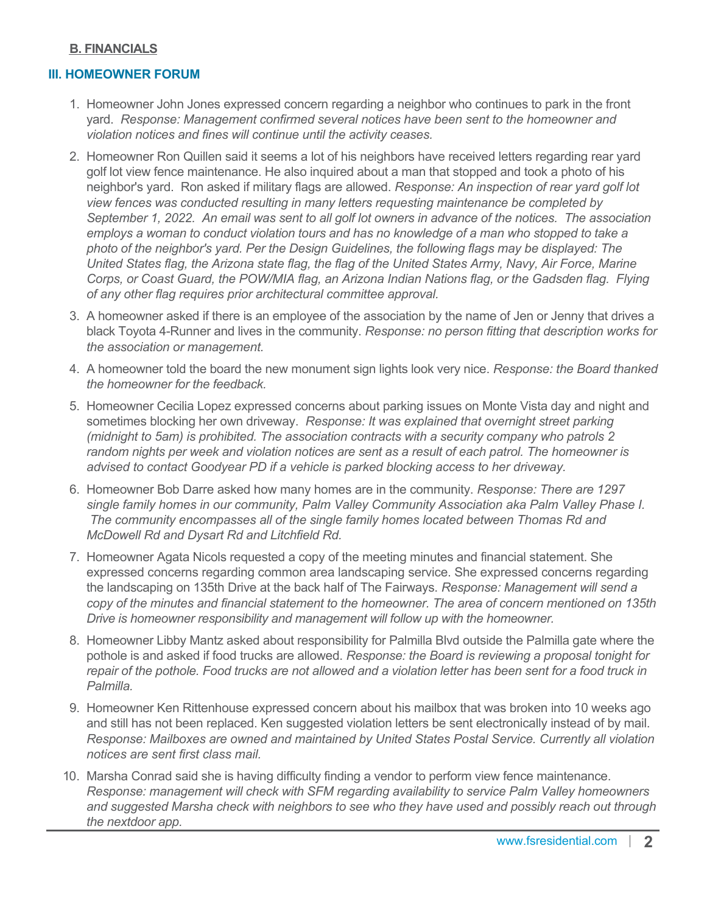#### **B. FINANCIALS**

#### **III. HOMEOWNER FORUM**

- 1. Homeowner John Jones expressed concern regarding a neighbor who continues to park in the front yard. *Response: Management confirmed several notices have been sent to the homeowner and violation notices and fines will continue until the activity ceases.*
- 2. Homeowner Ron Quillen said it seems a lot of his neighbors have received letters regarding rear yard golf lot view fence maintenance. He also inquired about a man that stopped and took a photo of his neighbor's yard. Ron asked if military flags are allowed. *Response: An inspection of rear yard golf lot view fences was conducted resulting in many letters requesting maintenance be completed by September 1, 2022. An email was sent to all golf lot owners in advance of the notices. The association employs a woman to conduct violation tours and has no knowledge of a man who stopped to take a photo of the neighbor's yard. Per the Design Guidelines, the following flags may be displayed: The United States flag, the Arizona state flag, the flag of the United States Army, Navy, Air Force, Marine Corps, or Coast Guard, the POW/MIA flag, an Arizona Indian Nations flag, or the Gadsden flag. Flying of any other flag requires prior architectural committee approval.*
- 3. A homeowner asked if there is an employee of the association by the name of Jen or Jenny that drives a black Toyota 4-Runner and lives in the community. *Response: no person fitting that description works for the association or management.*
- 4. A homeowner told the board the new monument sign lights look very nice. *Response: the Board thanked the homeowner for the feedback.*
- 5. Homeowner Cecilia Lopez expressed concerns about parking issues on Monte Vista day and night and sometimes blocking her own driveway. *Response: It was explained that overnight street parking (midnight to 5am) is prohibited. The association contracts with a security company who patrols 2 random nights per week and violation notices are sent as a result of each patrol. The homeowner is advised to contact Goodyear PD if a vehicle is parked blocking access to her driveway.*
- 6. Homeowner Bob Darre asked how many homes are in the community. *Response: There are 1297 single family homes in our community, Palm Valley Community Association aka Palm Valley Phase I. The community encompasses all of the single family homes located between Thomas Rd and McDowell Rd and Dysart Rd and Litchfield Rd.*
- 7. Homeowner Agata Nicols requested a copy of the meeting minutes and financial statement. She expressed concerns regarding common area landscaping service. She expressed concerns regarding the landscaping on 135th Drive at the back half of The Fairways. *Response: Management will send a copy of the minutes and financial statement to the homeowner. The area of concern mentioned on 135th Drive is homeowner responsibility and management will follow up with the homeowner.*
- 8. Homeowner Libby Mantz asked about responsibility for Palmilla Blvd outside the Palmilla gate where the pothole is and asked if food trucks are allowed. *Response: the Board is reviewing a proposal tonight for repair of the pothole. Food trucks are not allowed and a violation letter has been sent for a food truck in Palmilla.*
- 9. Homeowner Ken Rittenhouse expressed concern about his mailbox that was broken into 10 weeks ago and still has not been replaced. Ken suggested violation letters be sent electronically instead of by mail. *Response: Mailboxes are owned and maintained by United States Postal Service. Currently all violation notices are sent first class mail.*
- 10. Marsha Conrad said she is having difficulty finding a vendor to perform view fence maintenance. *Response: management will check with SFM regarding availability to service Palm Valley homeowners and suggested Marsha check with neighbors to see who they have used and possibly reach out through the nextdoor app.*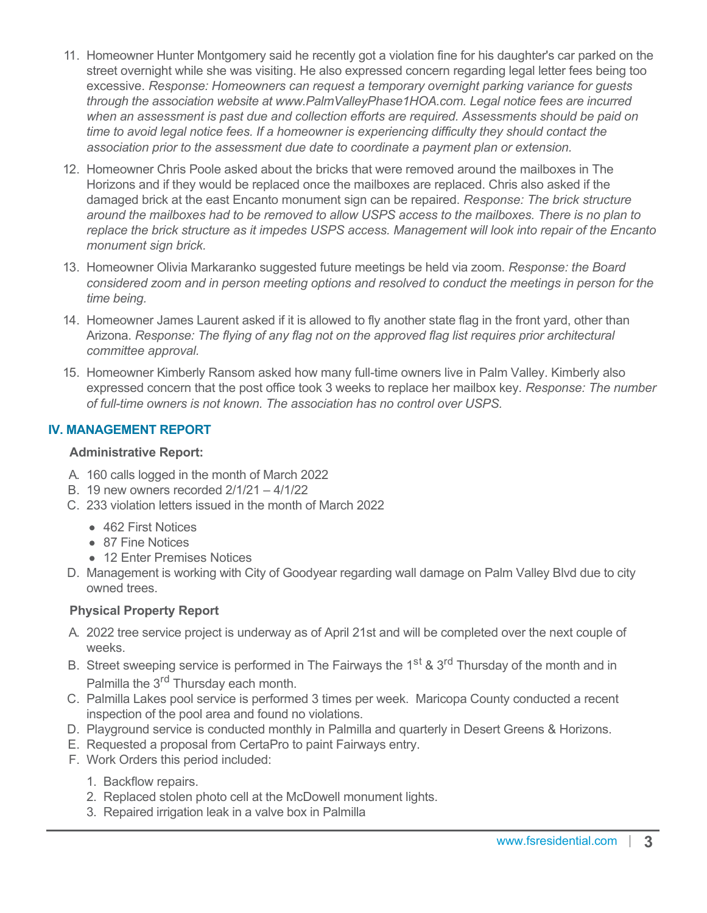- 11. Homeowner Hunter Montgomery said he recently got a violation fine for his daughter's car parked on the street overnight while she was visiting. He also expressed concern regarding legal letter fees being too excessive. *Response: Homeowners can request a temporary overnight parking variance for guests through the association website at www.PalmValleyPhase1HOA.com. Legal notice fees are incurred when an assessment is past due and collection efforts are required. Assessments should be paid on time to avoid legal notice fees. If a homeowner is experiencing difficulty they should contact the association prior to the assessment due date to coordinate a payment plan or extension.*
- 12. Homeowner Chris Poole asked about the bricks that were removed around the mailboxes in The Horizons and if they would be replaced once the mailboxes are replaced. Chris also asked if the damaged brick at the east Encanto monument sign can be repaired. *Response: The brick structure around the mailboxes had to be removed to allow USPS access to the mailboxes. There is no plan to replace the brick structure as it impedes USPS access. Management will look into repair of the Encanto monument sign brick.*
- 13. Homeowner Olivia Markaranko suggested future meetings be held via zoom. *Response: the Board considered zoom and in person meeting options and resolved to conduct the meetings in person for the time being.*
- 14. Homeowner James Laurent asked if it is allowed to fly another state flag in the front yard, other than Arizona. *Response: The flying of any flag not on the approved flag list requires prior architectural committee approval.*
- 15. Homeowner Kimberly Ransom asked how many full-time owners live in Palm Valley. Kimberly also expressed concern that the post office took 3 weeks to replace her mailbox key. *Response: The number of full-time owners is not known. The association has no control over USPS.*

# **IV. MANAGEMENT REPORT**

# **Administrative Report:**

- A. 160 calls logged in the month of March 2022
- B. 19 new owners recorded 2/1/21 4/1/22
- C. 233 violation letters issued in the month of March 2022
	- 462 First Notices
	- 87 Fine Notices
	- 12 Enter Premises Notices
- D. Management is working with City of Goodyear regarding wall damage on Palm Valley Blvd due to city owned trees.

# **Physical Property Report**

- A. 2022 tree service project is underway as of April 21st and will be completed over the next couple of weeks.
- B. Street sweeping service is performed in The Fairways the 1<sup>st</sup> & 3<sup>rd</sup> Thursday of the month and in Palmilla the 3<sup>rd</sup> Thursday each month.
- C. Palmilla Lakes pool service is performed 3 times per week. Maricopa County conducted a recent inspection of the pool area and found no violations.
- D. Playground service is conducted monthly in Palmilla and quarterly in Desert Greens & Horizons.
- E. Requested a proposal from CertaPro to paint Fairways entry.
- F. Work Orders this period included:
	- 1. Backflow repairs.
	- 2. Replaced stolen photo cell at the McDowell monument lights.
	- 3. Repaired irrigation leak in a valve box in Palmilla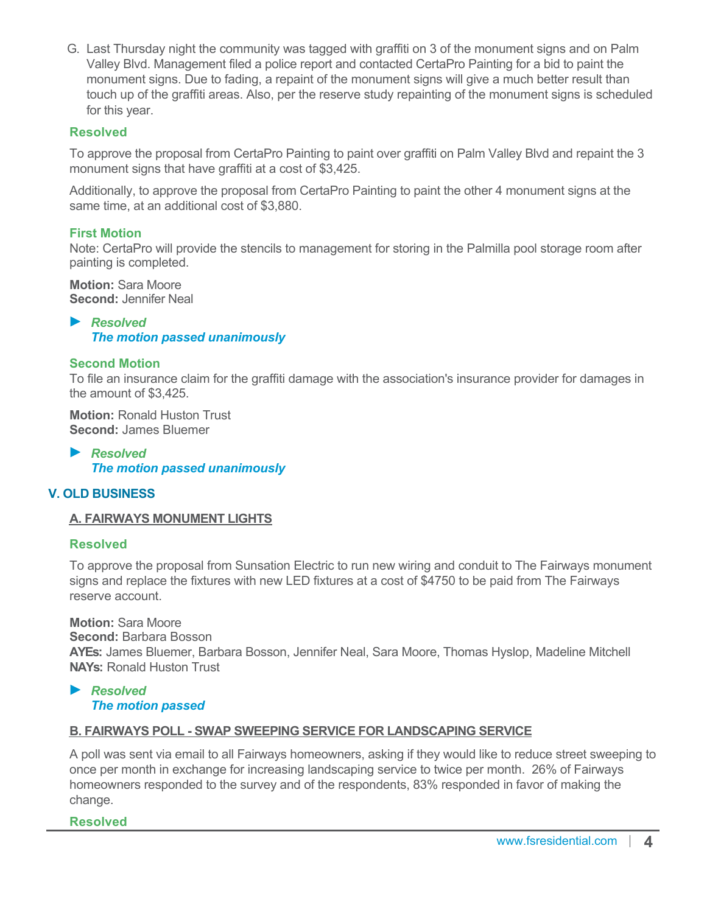G. Last Thursday night the community was tagged with graffiti on 3 of the monument signs and on Palm Valley Blvd. Management filed a police report and contacted CertaPro Painting for a bid to paint the monument signs. Due to fading, a repaint of the monument signs will give a much better result than touch up of the graffiti areas. Also, per the reserve study repainting of the monument signs is scheduled for this year.

# **Resolved**

To approve the proposal from CertaPro Painting to paint over graffiti on Palm Valley Blvd and repaint the 3 monument signs that have graffiti at a cost of \$3,425.

Additionally, to approve the proposal from CertaPro Painting to paint the other 4 monument signs at the same time, at an additional cost of \$3,880.

# **First Motion**

Note: CertaPro will provide the stencils to management for storing in the Palmilla pool storage room after painting is completed.

**Motion:** Sara Moore **Second:** Jennifer Neal

*Resolved The motion passed unanimously*

# **Second Motion**

To file an insurance claim for the graffiti damage with the association's insurance provider for damages in the amount of \$3,425.

**Motion:** Ronald Huston Trust **Second:** James Bluemer

*Resolved The motion passed unanimously*

# **V. OLD BUSINESS**

# **A. FAIRWAYS MONUMENT LIGHTS**

# **Resolved**

To approve the proposal from Sunsation Electric to run new wiring and conduit to The Fairways monument signs and replace the fixtures with new LED fixtures at a cost of \$4750 to be paid from The Fairways reserve account.

**Motion:** Sara Moore **Second:** Barbara Bosson **AYEs:** James Bluemer, Barbara Bosson, Jennifer Neal, Sara Moore, Thomas Hyslop, Madeline Mitchell **NAYs:** Ronald Huston Trust

#### *Resolved The motion passed*

# **B. FAIRWAYS POLL - SWAP SWEEPING SERVICE FOR LANDSCAPING SERVICE**

A poll was sent via email to all Fairways homeowners, asking if they would like to reduce street sweeping to once per month in exchange for increasing landscaping service to twice per month. 26% of Fairways homeowners responded to the survey and of the respondents, 83% responded in favor of making the change.

#### **Resolved**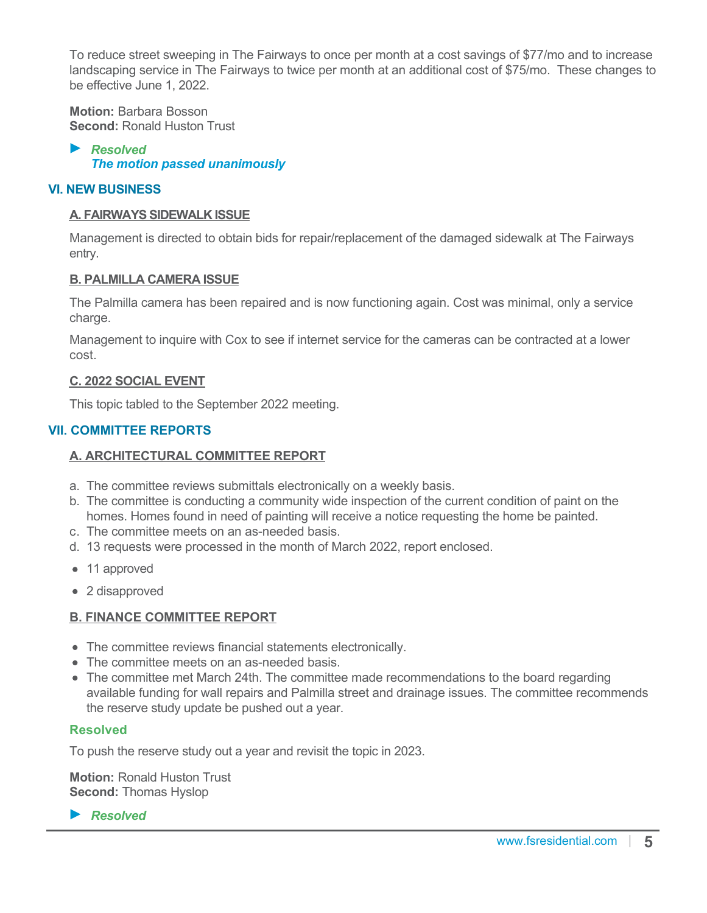To reduce street sweeping in The Fairways to once per month at a cost savings of \$77/mo and to increase landscaping service in The Fairways to twice per month at an additional cost of \$75/mo. These changes to be effective June 1, 2022.

**Motion:** Barbara Bosson **Second:** Ronald Huston Trust

*Resolved The motion passed unanimously*

# **VI. NEW BUSINESS**

#### **A. FAIRWAYS SIDEWALK ISSUE**

Management is directed to obtain bids for repair/replacement of the damaged sidewalk at The Fairways entry.

#### **B. PALMILLA CAMERA ISSUE**

The Palmilla camera has been repaired and is now functioning again. Cost was minimal, only a service charge.

Management to inquire with Cox to see if internet service for the cameras can be contracted at a lower cost.

#### **C. 2022 SOCIAL EVENT**

This topic tabled to the September 2022 meeting.

# **VII. COMMITTEE REPORTS**

#### **A. ARCHITECTURAL COMMITTEE REPORT**

- a. The committee reviews submittals electronically on a weekly basis.
- b. The committee is conducting a community wide inspection of the current condition of paint on the homes. Homes found in need of painting will receive a notice requesting the home be painted.
- c. The committee meets on an as-needed basis.
- d. 13 requests were processed in the month of March 2022, report enclosed.
- 11 approved
- 2 disapproved

#### **B. FINANCE COMMITTEE REPORT**

- The committee reviews financial statements electronically.
- The committee meets on an as-needed basis.
- The committee met March 24th. The committee made recommendations to the board regarding available funding for wall repairs and Palmilla street and drainage issues. The committee recommends the reserve study update be pushed out a year.

#### **Resolved**

To push the reserve study out a year and revisit the topic in 2023.

**Motion:** Ronald Huston Trust **Second:** Thomas Hyslop

*Resolved*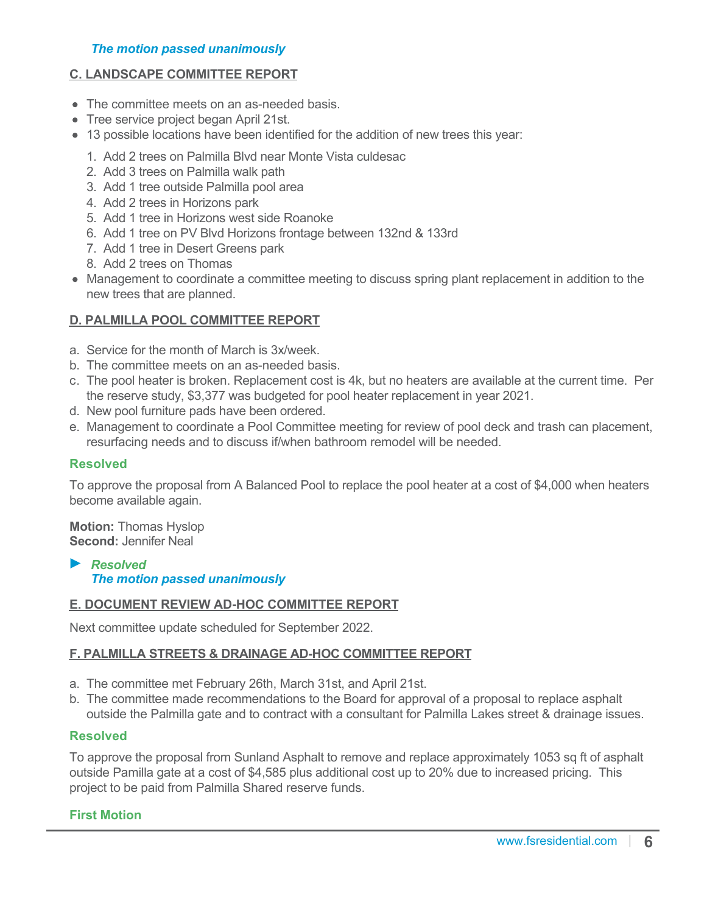#### *The motion passed unanimously*

# **C. LANDSCAPE COMMITTEE REPORT**

- The committee meets on an as-needed basis.
- Tree service project began April 21st.
- 13 possible locations have been identified for the addition of new trees this year:
	- 1. Add 2 trees on Palmilla Blvd near Monte Vista culdesac
	- 2. Add 3 trees on Palmilla walk path
	- 3. Add 1 tree outside Palmilla pool area
	- 4. Add 2 trees in Horizons park
	- 5. Add 1 tree in Horizons west side Roanoke
	- 6. Add 1 tree on PV Blvd Horizons frontage between 132nd & 133rd
	- 7. Add 1 tree in Desert Greens park
	- 8. Add 2 trees on Thomas
- Management to coordinate a committee meeting to discuss spring plant replacement in addition to the new trees that are planned.

#### **D. PALMILLA POOL COMMITTEE REPORT**

- a. Service for the month of March is 3x/week.
- b. The committee meets on an as-needed basis.
- c. The pool heater is broken. Replacement cost is 4k, but no heaters are available at the current time. Per the reserve study, \$3,377 was budgeted for pool heater replacement in year 2021.
- d. New pool furniture pads have been ordered.
- e. Management to coordinate a Pool Committee meeting for review of pool deck and trash can placement, resurfacing needs and to discuss if/when bathroom remodel will be needed.

#### **Resolved**

To approve the proposal from A Balanced Pool to replace the pool heater at a cost of \$4,000 when heaters become available again.

**Motion:** Thomas Hyslop **Second:** Jennifer Neal

#### *Resolved The motion passed unanimously*

#### **E. DOCUMENT REVIEW AD-HOC COMMITTEE REPORT**

Next committee update scheduled for September 2022.

#### **F. PALMILLA STREETS & DRAINAGE AD-HOC COMMITTEE REPORT**

- a. The committee met February 26th, March 31st, and April 21st.
- b. The committee made recommendations to the Board for approval of a proposal to replace asphalt outside the Palmilla gate and to contract with a consultant for Palmilla Lakes street & drainage issues.

#### **Resolved**

To approve the proposal from Sunland Asphalt to remove and replace approximately 1053 sq ft of asphalt outside Pamilla gate at a cost of \$4,585 plus additional cost up to 20% due to increased pricing. This project to be paid from Palmilla Shared reserve funds.

#### **First Motion**